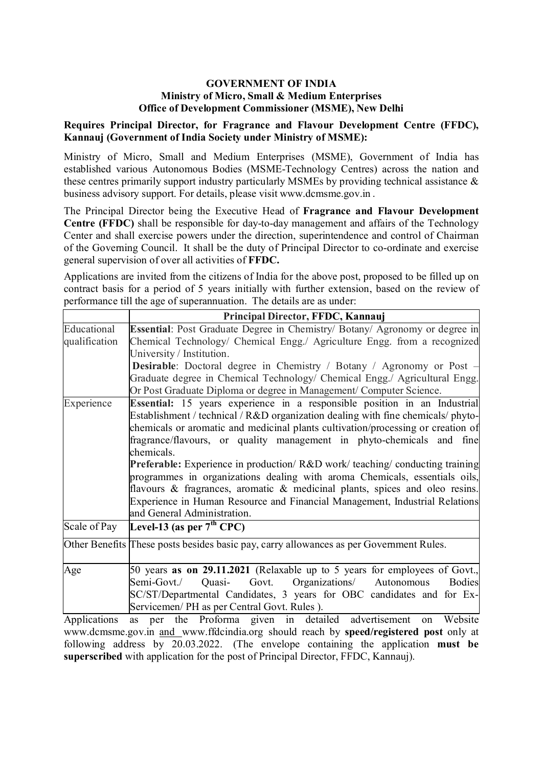### **GOVERNMENT OF INDIA Ministry of Micro, Small & Medium Enterprises Office of Development Commissioner (MSME), New Delhi**

# **Requires Principal Director, for Fragrance and Flavour Development Centre (FFDC), Kannauj (Government of India Society under Ministry of MSME):**

Ministry of Micro, Small and Medium Enterprises (MSME), Government of India has established various Autonomous Bodies (MSME-Technology Centres) across the nation and these centres primarily support industry particularly MSMEs by providing technical assistance & business advisory support. For details, please visit www.dcmsme.gov.in .

The Principal Director being the Executive Head of **Fragrance and Flavour Development Centre (FFDC)** shall be responsible for day-to-day management and affairs of the Technology Center and shall exercise powers under the direction, superintendence and control of Chairman of the Governing Council. It shall be the duty of Principal Director to co-ordinate and exercise general supervision of over all activities of **FFDC.**

Applications are invited from the citizens of India for the above post, proposed to be filled up on contract basis for a period of 5 years initially with further extension, based on the review of performance till the age of superannuation. The details are as under:

|               | Principal Director, FFDC, Kannauj                                                       |  |  |  |  |  |  |
|---------------|-----------------------------------------------------------------------------------------|--|--|--|--|--|--|
| Educational   | Essential: Post Graduate Degree in Chemistry/ Botany/ Agronomy or degree in             |  |  |  |  |  |  |
| qualification | Chemical Technology/ Chemical Engg./ Agriculture Engg. from a recognized                |  |  |  |  |  |  |
|               | University / Institution.                                                               |  |  |  |  |  |  |
|               | <b>Desirable:</b> Doctoral degree in Chemistry / Botany / Agronomy or Post -            |  |  |  |  |  |  |
|               | Graduate degree in Chemical Technology/ Chemical Engg./ Agricultural Engg.              |  |  |  |  |  |  |
|               | Or Post Graduate Diploma or degree in Management/ Computer Science.                     |  |  |  |  |  |  |
| Experience    | Essential: 15 years experience in a responsible position in an Industrial               |  |  |  |  |  |  |
|               | Establishment / technical / R&D organization dealing with fine chemicals/ phyto-        |  |  |  |  |  |  |
|               | chemicals or aromatic and medicinal plants cultivation/processing or creation of        |  |  |  |  |  |  |
|               | fragrance/flavours, or quality management in phyto-chemicals and fine                   |  |  |  |  |  |  |
|               | chemicals.                                                                              |  |  |  |  |  |  |
|               | <b>Preferable:</b> Experience in production/R&D work/teaching/conducting training       |  |  |  |  |  |  |
|               | programmes in organizations dealing with aroma Chemicals, essentials oils,              |  |  |  |  |  |  |
|               | flavours & fragrances, aromatic & medicinal plants, spices and oleo resins.             |  |  |  |  |  |  |
|               | Experience in Human Resource and Financial Management, Industrial Relations             |  |  |  |  |  |  |
|               | and General Administration.                                                             |  |  |  |  |  |  |
| Scale of Pay  | Level-13 (as per $7th$ CPC)                                                             |  |  |  |  |  |  |
|               | Other Benefits These posts besides basic pay, carry allowances as per Government Rules. |  |  |  |  |  |  |
|               |                                                                                         |  |  |  |  |  |  |
| Age           | 50 years as on 29.11.2021 (Relaxable up to 5 years for employees of Govt.,              |  |  |  |  |  |  |
|               | Quasi- Govt. Organizations/ Autonomous<br>Semi-Govt./<br><b>Bodies</b>                  |  |  |  |  |  |  |
|               | SC/ST/Departmental Candidates, 3 years for OBC candidates and for Ex-                   |  |  |  |  |  |  |
|               | Servicemen/ PH as per Central Govt. Rules ).                                            |  |  |  |  |  |  |
|               | Applications as nor the Droforme given in detailed educationant on Website              |  |  |  |  |  |  |

Applications as per the Proforma given in detailed advertisement on Website www.dcmsme.gov.in and www.ffdcindia.org should reach by **speed/registered post** only at following address by 20.03.2022. (The envelope containing the application **must be superscribed** with application for the post of Principal Director, FFDC, Kannauj).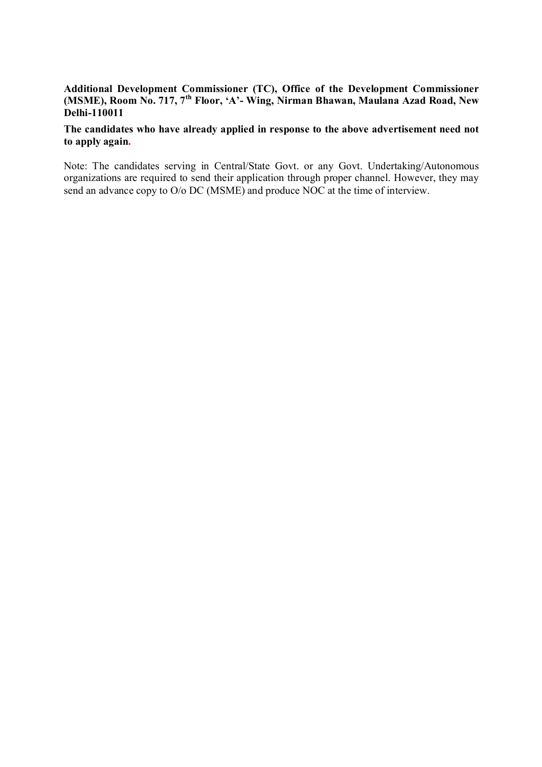# **Additional Development Commissioner (TC), Office of the Development Commissioner (MSME), Room No. 717, 7th Floor, 'A'- Wing, Nirman Bhawan, Maulana Azad Road, New Delhi-110011**

# **The candidates who have already applied in response to the above advertisement need not to apply again.**

Note: The candidates serving in Central/State Govt. or any Govt. Undertaking/Autonomous organizations are required to send their application through proper channel. However, they may send an advance copy to O/o DC (MSME) and produce NOC at the time of interview.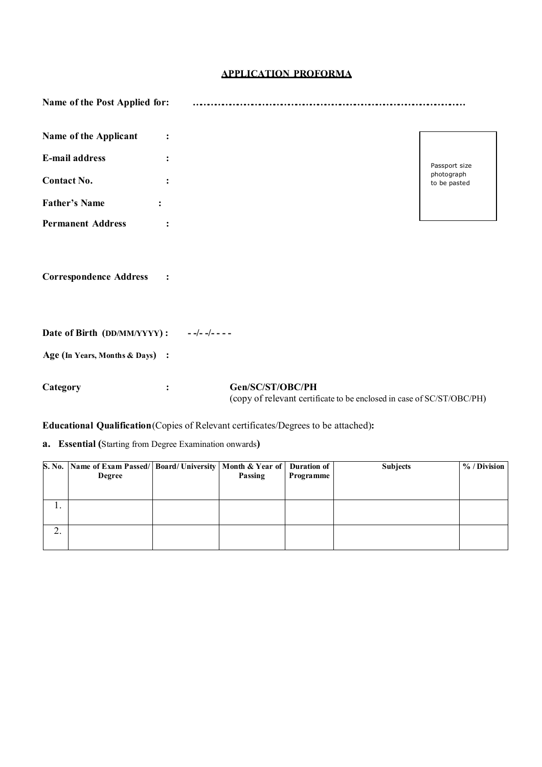# **APPLICATION PROFORMA**

| Name of the Post Applied for:                         |                   |                                                                                           |                            |
|-------------------------------------------------------|-------------------|-------------------------------------------------------------------------------------------|----------------------------|
| Name of the Applicant                                 | $\ddot{\cdot}$    |                                                                                           |                            |
| E-mail address                                        | $\ddot{\cdot}$    |                                                                                           | Passport size              |
| <b>Contact No.</b>                                    | $\ddot{\cdot}$    |                                                                                           | photograph<br>to be pasted |
| <b>Father's Name</b>                                  |                   |                                                                                           |                            |
| <b>Permanent Address</b>                              |                   |                                                                                           |                            |
| <b>Correspondence Address</b><br>$\ddot{\phantom{1}}$ |                   |                                                                                           |                            |
| Date of Birth (DD/MM/YYYY):                           | $-$ -/- -/- - - - |                                                                                           |                            |
| Age (In Years, Months & Days) :                       |                   |                                                                                           |                            |
| Category                                              | :                 | Gen/SC/ST/OBC/PH<br>(copy of relevant certificate to be enclosed in case of SC/ST/OBC/PH) |                            |

**Educational Qualification** (Copies of Relevant certificates/Degrees to be attached)**:** 

**a. Essential (**Starting from Degree Examination onwards**)**

| <b>S. No.</b> | Name of Exam Passed/ Board/ University   Month & Year of   Duration of  <br>Degree | Passing | Programme | <b>Subjects</b> | $\%$ / Division |
|---------------|------------------------------------------------------------------------------------|---------|-----------|-----------------|-----------------|
| . .           |                                                                                    |         |           |                 |                 |
| ⌒             |                                                                                    |         |           |                 |                 |